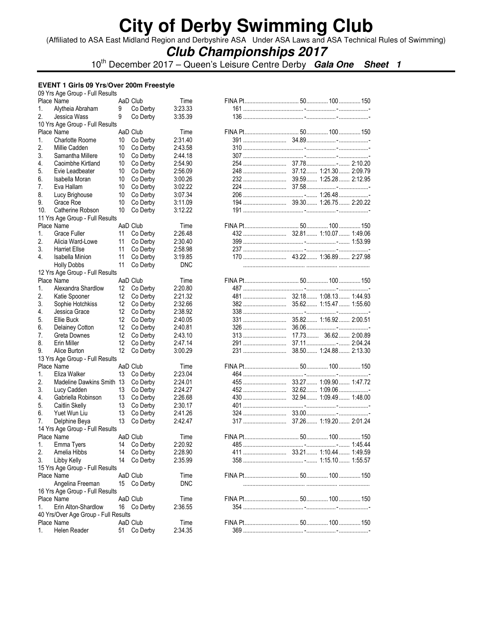(Affiliated to ASA East Midland Region and Derbyshire ASA Under ASA Laws and ASA Technical Rules of Swimming)

## **Club Championships 2017**

10th December 2017 – Queen's Leisure Centre Derby **Gala One Sheet 1**

#### **EVENT 1 Girls 09 Yrs/Over 200m Freestyle**  09 Yrs Age Group - Full Results

| US TIS AGE GIOUD - FUII RESUITS      |                 |             |            |  |     |
|--------------------------------------|-----------------|-------------|------------|--|-----|
| Place Name                           |                 | AaD Club    | Time       |  |     |
| 1.<br>Alytheia Abraham               | 9               | Co Derby    | 3:23.33    |  |     |
| Jessica Wass<br>2.                   | 9               | Co Derby    | 3:35.39    |  |     |
| 10 Yrs Age Group - Full Results      |                 |             |            |  |     |
| Place Name                           |                 | AaD Club    | Time       |  |     |
| <b>Charlotte Roome</b><br>1.         | 10              | Co Derby    | 2:31.40    |  |     |
| 2.<br>Millie Cadden                  | 10              | Co Derby    | 2:43.58    |  |     |
| 3.<br>Samantha Millere               | 10              | Co Derby    | 2:44.18    |  |     |
| Caoimbhe Kirtland<br>4.              | 10              | Co Derby    | 2:54.90    |  |     |
| Evie Leadbeater<br>5.                | 10              | Co Derby    | 2:56.09    |  |     |
| 6.<br>Isabella Moran                 | 10              | Co Derby    | 3:00.26    |  |     |
| 7.<br>Eva Hallam                     | 10              | Co Derby    | 3:02.22    |  |     |
| 8.<br>Lucy Brighouse                 | 10              | Co Derby    | 3:07.34    |  |     |
| Grace Roe                            |                 |             | 3:11.09    |  |     |
| 9.                                   | 10              | Co Derby    |            |  |     |
| 10.<br>Catherine Robson              | 10              | Co Derby    | 3:12.22    |  |     |
| 11 Yrs Age Group - Full Results      |                 |             |            |  |     |
| Place Name                           |                 | AaD Club    | Time       |  |     |
| 1.<br>Grace Fuller                   | 11              | Co Derby    | 2:26.48    |  |     |
| 2.<br>Alicia Ward-Lowe               | 11              | Co Derby    | 2:30.40    |  |     |
| 3.<br><b>Harriet Ellse</b>           | 11              | Co Derby    | 2:58.98    |  |     |
| 4.<br>Isabella Minion                | 11              | Co Derby    | 3:19.85    |  |     |
| <b>Holly Dobbs</b>                   | 11              | Co Derby    | <b>DNC</b> |  |     |
| 12 Yrs Age Group - Full Results      |                 |             |            |  |     |
| Place Name                           |                 | AaD Club    | Time       |  |     |
| Alexandra Shardlow<br>1.             | 12              | Co Derby    | 2:20.80    |  |     |
| 2.<br>Katie Spooner                  | 12              | Co Derby    | 2:21.32    |  |     |
| 3.<br>Sophie Hotchkiss               | 12              | Co Derby    | 2:32.66    |  |     |
| Jessica Grace<br>4.                  | 12              | Co Derby    | 2:38.92    |  |     |
|                                      | 12              |             | 2:40.05    |  |     |
| Ellie Buck<br>5.                     |                 | Co Derby    |            |  |     |
| 6.<br>Delainey Cotton                | 12              | Co Derby    | 2:40.81    |  |     |
| 7.<br>Greta Downes                   | 12              | Co Derby    | 2:43.10    |  |     |
| 8.<br>Erin Miller                    | 12              | Co Derby    | 2:47.14    |  |     |
| 9.<br>Alice Burton                   | 12 <sup>°</sup> | Co Derby    | 3:00.29    |  |     |
| 13 Yrs Age Group - Full Results      |                 |             |            |  |     |
| Place Name                           |                 | AaD Club    | Time       |  |     |
| Eliza Walker<br>1.                   | 13              | Co Derby    | 2:23.04    |  |     |
| 2.<br>Madeline Dawkins Smith 13      |                 | Co Derby    | 2:24.01    |  |     |
| 3.<br>Lucy Cadden                    | 13              | Co Derby    | 2:24.27    |  | . - |
| Gabriella Robinson<br>4.             | 13              | Co Derby    | 2:26.68    |  |     |
| 5.<br>Caitlin Skelly                 | 13              | Co Derby    | 2:30.17    |  |     |
| Yuet Wun Liu<br>6.                   | 13              | Co Derby    | 2:41.26    |  |     |
| Delphine Beya<br>7.                  | 13              | Co Derby    | 2:42.47    |  |     |
| 14 Yrs Age Group - Full Results      |                 |             |            |  |     |
|                                      |                 |             |            |  |     |
| Place Name                           |                 | AaD Club    | Time       |  |     |
| Emma Tyers<br>1.                     |                 | 14 Co Derby | 2:20.92    |  |     |
| 2.<br>Amelia Hibbs                   |                 | 14 Co Derby | 2:28.90    |  |     |
| Libby Kelly<br>3.                    |                 | 14 Co Derby | 2:35.99    |  |     |
| 15 Yrs Age Group - Full Results      |                 |             |            |  |     |
| Place Name                           |                 | AaD Club    | Time       |  |     |
| Angelina Freeman                     |                 | 15 Co Derby | <b>DNC</b> |  |     |
| 16 Yrs Age Group - Full Results      |                 |             |            |  |     |
| Place Name                           |                 | AaD Club    | Time       |  |     |
| Erin Alton-Shardlow<br>1.            |                 | 16 Co Derby | 2:36.55    |  |     |
| 40 Yrs/Over Age Group - Full Results |                 |             |            |  |     |
| Place Name                           |                 | AaD Club    | Time       |  |     |
| Helen Reader<br>1.                   | 51              | Co Derby    | 2:34.35    |  |     |
|                                      |                 |             |            |  |     |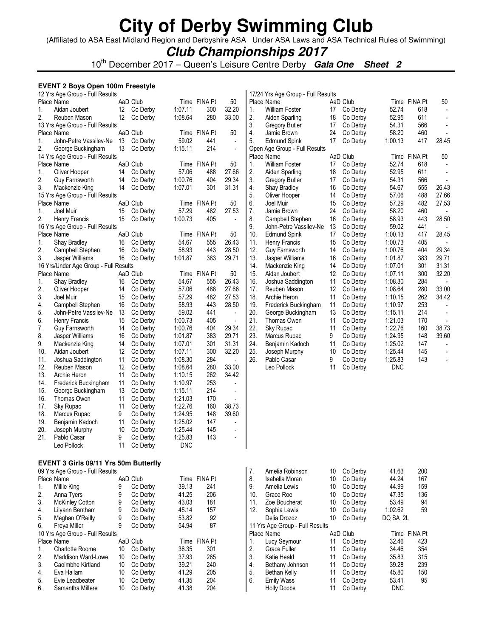(Affiliated to ASA East Midland Region and Derbyshire ASA Under ASA Laws and ASA Technical Rules of Swimming)

### **Club Championships 2017**

10<sup>th</sup> December 2017 – Queen's Leisure Centre Derby **Gala One Sheet 2** 

#### **EVENT 2 Boys Open 100m Freestyle**  12 Yrs Age Group - Full Results

|     | Place Name                            |    | AaD Club |            | Time FINA Pt | 50                       |
|-----|---------------------------------------|----|----------|------------|--------------|--------------------------|
| 1.  | Aidan Joubert                         | 12 | Co Derby | 1:07.11    | 300          | 32.20                    |
| 2.  | Reuben Mason                          | 12 | Co Derby | 1:08.64    | 280          | 33.00                    |
|     | 13 Yrs Age Group - Full Results       |    |          |            |              |                          |
|     | Place Name                            |    | AaD Club |            | Time FINA Pt | 50                       |
| 1.  | John-Petre Vassilev-Ne                | 13 | Co Derby | 59.02      | 441          |                          |
| 2.  | George Buckingham                     | 13 | Co Derby | 1:15.11    | 214          |                          |
|     | 14 Yrs Age Group - Full Results       |    |          |            |              |                          |
|     | Place Name                            |    | AaD Club |            | Time FINA Pt | 50                       |
| 1.  | Oliver Hooper                         | 14 | Co Derby | 57.06      | 488          | 27.66                    |
| 2.  | Guy Farnsworth                        | 14 | Co Derby | 1:00.76    | 404          | 29.34                    |
| 3.  | Mackenzie King                        | 14 | Co Derby | 1:07.01    | 301          | 31.31                    |
|     | 15 Yrs Age Group - Full Results       |    |          |            |              |                          |
|     | Place Name                            |    | AaD Club |            | Time FINA Pt | 50                       |
| 1.  | Joel Muir                             | 15 | Co Derby | 57.29      | 482          | 27.53                    |
| 2.  | Henry Francis                         | 15 | Co Derby | 1:00.73    | 405          |                          |
|     | 16 Yrs Age Group - Full Results       |    |          |            |              |                          |
|     | Place Name                            |    | AaD Club |            | Time FINA Pt | 50                       |
| 1.  | Shay Bradley                          | 16 | Co Derby | 54.67      | 555          | 26.43                    |
| 2.  | Campbell Stephen                      | 16 | Co Derby | 58.93      | 443          | 28.50                    |
| 3.  | Jasper Williams                       | 16 | Co Derby | 1:01.87    | 383          | 29.71                    |
|     | 16 Yrs/Under Age Group - Full Results |    |          |            |              |                          |
|     | Place Name                            |    | AaD Club |            | Time FINA Pt | 50                       |
| 1.  | Shay Bradley                          | 16 | Co Derby | 54.67      | 555          | 26.43                    |
| 2.  | Oliver Hooper                         | 14 | Co Derby | 57.06      | 488          | 27.66                    |
| 3.  | Joel Muir                             | 15 | Co Derby | 57.29      | 482          | 27.53                    |
| 4.  | Campbell Stephen                      | 16 | Co Derby | 58.93      | 443          | 28.50                    |
| 5.  | John-Petre Vassilev-Ne                | 13 | Co Derby | 59.02      | 441          | $\overline{\phantom{a}}$ |
| 6.  | Henry Francis                         | 15 | Co Derby | 1:00.73    | 405          |                          |
| 7.  | Guy Farnsworth                        | 14 | Co Derby | 1:00.76    | 404          | 29.34                    |
| 8.  | Jasper Williams                       | 16 | Co Derby | 1:01.87    | 383          | 29.71                    |
| 9.  | Mackenzie King                        | 14 | Co Derby | 1:07.01    | 301          | 31.31                    |
| 10. | Aidan Joubert                         | 12 | Co Derby | 1:07.11    | 300          | 32.20                    |
| 11. | Joshua Saddington                     | 11 | Co Derby | 1:08.30    | 284          |                          |
| 12. | Reuben Mason                          | 12 | Co Derby | 1:08.64    | 280          | 33.00                    |
| 13. | Archie Heron                          | 11 | Co Derby | 1:10.15    | 262          | 34.42                    |
| 14. | Frederick Buckingham                  | 11 | Co Derby | 1:10.97    | 253          |                          |
| 15. | George Buckingham                     | 13 | Co Derby | 1:15.11    | 214          | -                        |
| 16. | Thomas Owen                           | 11 | Co Derby | 1:21.03    | 170          |                          |
| 17. | Sky Rupac                             | 11 | Co Derby | 1:22.76    | 160          | 38.73                    |
| 18. | Marcus Rupac                          | 9  | Co Derby | 1:24.95    | 148          | 39.60                    |
| 19. | Benjamin Kadoch                       | 11 | Co Derby | 1:25.02    | 147          |                          |
| 20. | Joseph Murphy                         | 10 | Co Derby | 1:25.44    | 145          | -                        |
| 21. | Pablo Casar                           | 9  | Co Derby | 1:25.83    | 143          | -                        |
|     | Leo Pollock                           | 11 | Co Derby | <b>DNC</b> |              |                          |
|     |                                       |    |          |            |              |                          |
|     |                                       |    |          |            |              |                          |
|     | EVENT 3 Girls 09/11 Yrs 50m Butterfly |    |          |            |              |                          |
|     | 09 Yrs Age Group - Full Results       |    |          |            |              |                          |
|     | Place Name                            |    | AaD Club |            | Time FINA Pt |                          |
| 1.  | Millie King                           | 9  | Co Derby | 39.13      | 241          |                          |
| 2.  | Anna Tyers                            | 9  | Co Derby | 41.25      | 206          |                          |
| 3.  | <b>McKinley Cotton</b>                | 9  | Co Derby | 43.03      | 181          |                          |
| 4.  | Lilyann Bentham                       | 9  | Co Derby | 45.14      | 157          |                          |
| 5.  | Meghan O'Reilly                       | 9  | Co Derby | 53.82      | 92           |                          |
| 6.  | Freya Miller                          | 9  | Co Derby | 54.94      | 87           |                          |
|     | 10 Yrs Age Group - Full Results       |    |          |            |              |                          |
|     | Place Name                            |    | AaD Club |            | Time FINA Pt |                          |
| 1.  | Charlotte Roome                       | 10 | Co Derby | 36.35      | 301          |                          |
| 2.  | Maddison Ward-Lowe                    | 10 | Co Derby | 37.93      | 265          |                          |
| 3.  | Caoimbhe Kirtland                     | 10 | Co Derby | 39.21      | 240          |                          |
| 4.  | Eva Hallam                            | 10 | Co Derby | 41.29      | 205          |                          |
| 5.  | Evie Leadbeater                       | 10 | Co Derby | 41.35      | 204          |                          |
| 6.  | Samantha Millere                      | 10 | Co Derby | 41.38      | 204          |                          |

|     | 17/24 Yrs Age Group - Full Results |    |          |            |                |       |
|-----|------------------------------------|----|----------|------------|----------------|-------|
|     | Place Name                         |    | AaD Club | Time       | <b>FINA Pt</b> | 50    |
| 1.  | <b>William Foster</b>              | 17 | Co Derby | 52.74      | 618            |       |
| 2.  | Aiden Sparling                     | 18 | Co Derby | 52.95      | 611            |       |
| 3.  | <b>Gregory Butler</b>              | 17 | Co Derby | 54.31      | 566            |       |
| 4.  | Jamie Brown                        | 24 | Co Derby | 58.20      | 460            |       |
| 5.  | <b>Edmund Spink</b>                | 17 | Co Derby | 1:00.13    | 417            | 28.45 |
|     | Open Age Group - Full Results      |    |          |            |                |       |
|     | Place Name                         |    | AaD Club | Time       | <b>FINA Pt</b> | 50    |
| 1.  | <b>William Foster</b>              | 17 | Co Derby | 52.74      | 618            |       |
| 2.  | Aiden Sparling                     | 18 | Co Derby | 52.95      | 611            |       |
| 3.  | Gregory Butler                     | 17 | Co Derby | 54.31      | 566            |       |
| 4.  | <b>Shay Bradley</b>                | 16 | Co Derby | 54.67      | 555            | 26.43 |
| 5.  | Oliver Hooper                      | 14 | Co Derby | 57.06      | 488            | 27.66 |
| 6.  | Joel Muir                          | 15 | Co Derby | 57.29      | 482            | 27.53 |
| 7.  | Jamie Brown                        | 24 | Co Derby | 58.20      | 460            |       |
| 8.  | Campbell Stephen                   | 16 | Co Derby | 58.93      | 443            | 28.50 |
| 9.  | John-Petre Vassilev-Ne             | 13 | Co Derby | 59.02      | 441            |       |
| 10. | <b>Edmund Spink</b>                | 17 | Co Derby | 1:00.13    | 417            | 28.45 |
| 11. | Henry Francis                      | 15 | Co Derby | 1:00.73    | 405            |       |
| 12. | Guy Farnsworth                     | 14 | Co Derby | 1:00.76    | 404            | 29.34 |
| 13. | Jasper Williams                    | 16 | Co Derby | 1:01.87    | 383            | 29.71 |
| 14. | Mackenzie King                     | 14 | Co Derby | 1:07.01    | 301            | 31.31 |
| 15. | Aidan Joubert                      | 12 | Co Derby | 1:07.11    | 300            | 32.20 |
| 16. | Joshua Saddington                  | 11 | Co Derby | 1:08.30    | 284            |       |
| 17. | Reuben Mason                       | 12 | Co Derby | 1:08.64    | 280            | 33.00 |
| 18. | Archie Heron                       | 11 | Co Derby | 1:10.15    | 262            | 34.42 |
| 19. | Frederick Buckingham               | 11 | Co Derby | 1:10.97    | 253            |       |
| 20. | George Buckingham                  | 13 | Co Derby | 1:15.11    | 214            |       |
| 21. | Thomas Owen                        | 11 | Co Derby | 1:21.03    | 170            |       |
| 22. | Sky Rupac                          | 11 | Co Derby | 1:22.76    | 160            | 38.73 |
| 23. | Marcus Rupac                       | 9  | Co Derby | 1:24.95    | 148            | 39.60 |
| 24. | Benjamin Kadoch                    | 11 | Co Derby | 1:25.02    | 147            |       |
| 25. | Joseph Murphy                      | 10 | Co Derby | 1:25.44    | 145            |       |
| 26. | Pablo Casar                        | 9  | Co Derby | 1:25.83    | 143            |       |
|     | Leo Pollock                        | 11 | Co Derby | <b>DNC</b> |                |       |
|     |                                    |    |          |            |                |       |

| 7.                              | Amelia Robinson    | 10 | Co Derby | 41.63      | 200            |  |  |  |  |
|---------------------------------|--------------------|----|----------|------------|----------------|--|--|--|--|
| 8.                              | Isabella Moran     | 10 | Co Derby | 44.24      | 167            |  |  |  |  |
| 9.                              | Amelia Lewis       | 10 | Co Derby | 44.99      | 159            |  |  |  |  |
| 10.                             | Grace Roe          | 10 | Co Derby | 47.35      | 136            |  |  |  |  |
| 11.                             | Zoe Boucherat      | 10 | Co Derby | 53.49      | 94             |  |  |  |  |
| 12.                             | Sophia Lewis       | 10 | Co Derby | 1:02.62    | 59             |  |  |  |  |
|                                 | Delia Drozdz       | 10 | Co Derby | DQ SA 2L   |                |  |  |  |  |
| 11 Yrs Age Group - Full Results |                    |    |          |            |                |  |  |  |  |
|                                 | Place Name         |    | AaD Club | Time       | <b>FINA Pt</b> |  |  |  |  |
| 1.                              | Lucy Seymour       | 11 | Co Derby | 32.46      | 423            |  |  |  |  |
| 2.                              | Grace Fuller       | 11 | Co Derby | 34.46      | 354            |  |  |  |  |
| 3.                              | Katie Heald        | 11 | Co Derby | 35.83      | 315            |  |  |  |  |
| 4.                              | Bethany Johnson    | 11 | Co Derby | 39.28      | 239            |  |  |  |  |
| 5.                              | Bethan Kelly       | 11 | Co Derby | 45.80      | 150            |  |  |  |  |
|                                 |                    |    |          |            |                |  |  |  |  |
| 6.                              | <b>Emily Wass</b>  | 11 | Co Derby | 53.41      | 95             |  |  |  |  |
|                                 | <b>Holly Dobbs</b> | 11 | Co Derby | <b>DNC</b> |                |  |  |  |  |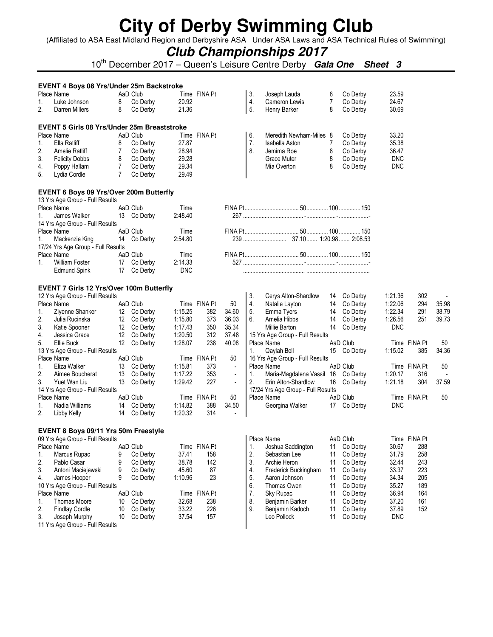(Affiliated to ASA East Midland Region and Derbyshire ASA Under ASA Laws and ASA Technical Rules of Swimming)

## **Club Championships 2017**

10th December 2017 – Queen's Leisure Centre Derby **Gala One Sheet 3**

|    | EVENT 4 Boys 08 Yrs/Under 25m Backstroke                                   |                |             |            |              |                |    |                                    |                |          |            |              |       |
|----|----------------------------------------------------------------------------|----------------|-------------|------------|--------------|----------------|----|------------------------------------|----------------|----------|------------|--------------|-------|
|    | Place Name                                                                 |                | AaD Club    |            | Time FINA Pt |                | 3. | Joseph Lauda                       | 8              | Co Derby | 23.59      |              |       |
| 1. | Luke Johnson                                                               | 8              | Co Derby    | 20.92      |              |                | 4. | Cameron Lewis                      | $\overline{7}$ | Co Derby | 24.67      |              |       |
| 2. | Darren Millers                                                             | 8              | Co Derby    | 21.36      |              |                | 5. | Henry Barker                       | 8              | Co Derby | 30.69      |              |       |
|    |                                                                            |                |             |            |              |                |    |                                    |                |          |            |              |       |
|    | <b>EVENT 5 Girls 08 Yrs/Under 25m Breaststroke</b>                         |                |             |            |              |                |    |                                    |                |          |            |              |       |
|    | Place Name                                                                 |                | AaD Club    |            | Time FINA Pt |                | 6. | Meredith Newham-Miles 8            |                | Co Derby | 33.20      |              |       |
| 1. | Ella Ratliff                                                               | 8              | Co Derby    | 27.87      |              |                | 7. | Isabella Aston                     | $\overline{7}$ | Co Derby | 35.38      |              |       |
| 2. | Amelie Ratliff                                                             | 7              | Co Derby    | 28.94      |              |                | 8. | Jemima Roe                         | 8              | Co Derby | 36.47      |              |       |
| 3. | <b>Felicity Dobbs</b>                                                      | 8              | Co Derby    | 29.28      |              |                |    | Grace Muter                        | 8              | Co Derby | <b>DNC</b> |              |       |
| 4. | Poppy Hallam                                                               | $\overline{7}$ | Co Derby    | 29.34      |              |                |    | Mia Overton                        | 8              | Co Derby | <b>DNC</b> |              |       |
| 5. | Lydia Cordle                                                               | $\overline{7}$ | Co Derby    | 29.49      |              |                |    |                                    |                |          |            |              |       |
|    |                                                                            |                |             |            |              |                |    |                                    |                |          |            |              |       |
|    | EVENT 6 Boys 09 Yrs/Over 200m Butterfly<br>13 Yrs Age Group - Full Results |                |             |            |              |                |    |                                    |                |          |            |              |       |
|    | Place Name                                                                 |                | AaD Club    | Time       |              |                |    |                                    |                |          |            |              |       |
| 1. | James Walker                                                               |                | 13 Co Derby | 2:48.40    |              |                |    |                                    |                |          |            |              |       |
|    | 14 Yrs Age Group - Full Results                                            |                |             |            |              |                |    |                                    |                |          |            |              |       |
|    | Place Name                                                                 |                | AaD Club    | Time       |              |                |    |                                    |                |          |            |              |       |
| 1. | Mackenzie King                                                             | 14             | Co Derby    | 2:54.80    |              |                |    |                                    |                |          |            |              |       |
|    | 17/24 Yrs Age Group - Full Results                                         |                |             |            |              |                |    |                                    |                |          |            |              |       |
|    | Place Name                                                                 |                | AaD Club    | Time       |              |                |    |                                    |                |          |            |              |       |
| 1. | <b>William Foster</b>                                                      | 17             | Co Derby    | 2:14.33    |              |                |    |                                    |                |          |            |              |       |
|    | <b>Edmund Spink</b>                                                        | 17             | Co Derby    | <b>DNC</b> |              |                |    |                                    |                |          |            |              |       |
|    |                                                                            |                |             |            |              |                |    |                                    |                |          |            |              |       |
|    | <b>EVENT 7 Girls 12 Yrs/Over 100m Butterfly</b>                            |                |             |            |              |                |    |                                    |                |          |            |              |       |
|    | 12 Yrs Age Group - Full Results                                            |                |             |            |              |                | 3. | Cerys Alton-Shardlow               | 14             | Co Derby | 1:21.36    | 302          |       |
|    | Place Name                                                                 |                | AaD Club    |            | Time FINA Pt | 50             | 4. | Natalie Layton                     | 14             | Co Derby | 1:22.06    | 294          | 35.98 |
| 1. | Ziyenne Shanker                                                            |                | 12 Co Derby | 1:15.25    | 382          | 34.60          | 5. | Emma Tyers                         | 14             | Co Derby | 1:22.34    | 291          | 38.79 |
| 2. | Julia Rucinska                                                             | 12             | Co Derby    | 1:15.80    | 373          | 36.03          | 6. | Amelia Hibbs                       | 14             | Co Derby | 1:26.56    | 251          | 39.73 |
| 3. | Katie Spooner                                                              | 12             | Co Derby    | 1:17.43    | 350          | 35.34          |    | Millie Barton                      | 14             | Co Derby | <b>DNC</b> |              |       |
| 4. | Jessica Grace                                                              | 12             | Co Derby    | 1:20.50    | 312          | 37.48          |    | 15 Yrs Age Group - Full Results    |                |          |            |              |       |
| 5. | Ellie Buck                                                                 |                | 12 Co Derby | 1:28.07    | 238          | 40.08          |    | Place Name                         |                | AaD Club |            | Time FINA Pt | 50    |
|    | 13 Yrs Age Group - Full Results                                            |                |             |            |              |                | 1. | Qaylah Bell                        | 15             | Co Derby | 1:15.02    | 385          | 34.36 |
|    | Place Name                                                                 |                | AaD Club    |            | Time FINA Pt | 50             |    | 16 Yrs Age Group - Full Results    |                |          |            |              |       |
| 1. | Eliza Walker                                                               |                | 13 Co Derby | 1:15.81    | 373          | $\blacksquare$ |    | Place Name                         |                | AaD Club |            | Time FINA Pt | 50    |
| 2. | Aimee Boucherat                                                            | 13             | Co Derby    | 1:17.22    | 353          | ÷,             | 1. | Maria-Magdalena Vassil 16          |                | Co Derby | 1:20.17    | 316          |       |
| 3. | Yuet Wan Liu                                                               | 13             | Co Derby    | 1:29.42    | 227          | $\blacksquare$ | 2. | Erin Alton-Shardlow                | 16             | Co Derby | 1:21.18    | 304          | 37.59 |
|    | 14 Yrs Age Group - Full Results                                            |                |             |            |              |                |    | 17/24 Yrs Age Group - Full Results |                |          |            |              |       |
|    | Place Name                                                                 |                | AaD Club    |            | Time FINA Pt | 50             |    | Place Name                         |                | AaD Club |            | Time FINA Pt | 50    |
| 1. | Nadia Williams                                                             | 14             | Co Derby    | 1:14.82    | 388          | 34.50          |    | Georgina Walker                    | 17             | Co Derby | <b>DNC</b> |              |       |
| 2. | Libby Kelly                                                                | 14             | Co Derby    | 1:20.32    | 314          |                |    |                                    |                |          |            |              |       |
|    |                                                                            |                |             |            |              |                |    |                                    |                |          |            |              |       |
|    | EVENT 8 Boys 09/11 Yrs 50m Freestyle                                       |                |             |            |              |                |    |                                    |                |          |            |              |       |
|    | 09 Yrs Age Group - Full Results                                            |                |             |            |              |                |    | Place Name                         |                | AaD Club |            | Time FINA Pt |       |
|    | Place Name                                                                 |                | AaD Club    |            | Time FINA Pt |                | 1. | Joshua Saddington                  | 11             | Co Derby | 30.67      | 288          |       |
| 1. | Marcus Rupac                                                               | 9              | Co Derby    | 37.41      | 158          |                | 2. | Sebastian Lee                      | 11             | Co Derby | 31.79      | 258          |       |
| 2. | Pablo Casar                                                                | 9              | Co Derby    | 38.78      | 142          |                | 3. | Archie Heron                       | 11             | Co Derby | 32.44      | 243          |       |
| 3. | Antoni Maciejewski                                                         | 9              | Co Derby    | 45.60      | 87           |                | 4. | Frederick Buckingham               | 11             | Co Derby | 33.37      | 223          |       |
| 4. | James Hooper                                                               | 9              | Co Derby    | 1:10.96    | 23           |                | 5. | Aaron Johnson                      | 11             | Co Derby | 34.34      | 205          |       |
|    | 10 Yrs Age Group - Full Results                                            |                |             |            |              |                | 6. | Thomas Owen                        | 11             | Co Derby | 35.27      | 189          |       |

7. Sky Rupac 11 Co Derby 36.94 164 8. Benjamin Barker 11 Co Derby 37.20 161 9. Benjamin Kadoch 11 Co Derby 37.89 152 Leo Pollock 11 Co Derby DNC

|    | Place Name            | AaD Club    |       | Time FINA Pt |
|----|-----------------------|-------------|-------|--------------|
| 1. | Thomas Moore          | 10 Co Derby | 32.68 | 238          |
| 2. | <b>Findlay Cordle</b> | 10 Co Derby | 33.22 | 226          |
| 3. | Joseph Murphy         | 10 Co Derby | 37.54 | 157          |

11 Yrs Age Group - Full Results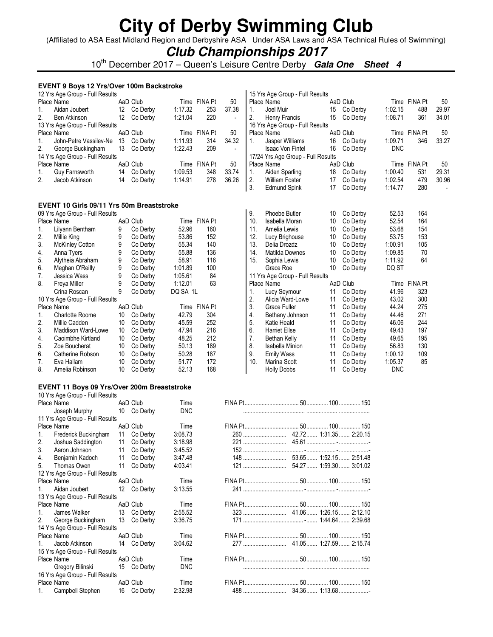(Affiliated to ASA East Midland Region and Derbyshire ASA Under ASA Laws and ASA Technical Rules of Swimming)

### **Club Championships 2017**

10th December 2017 – Queen's Leisure Centre Derby **Gala One Sheet 4**

### **EVENT 9 Boys 12 Yrs/Over 100m Backstroke**

14 Yrs Age Group - Full Results

15 Yrs Age Group - Full Results

16 Yrs Age Group - Full Results

|                      |                                                                                                                                                                                                                                                                                                                                                                                                                                                                                                                                                  |                                                                                                                                                                                                                                                                                                                                                                                        |                                                                                                                                                                                                                                                                                                                                                                                                                                                                                                                                                   |                                                                                                                                                                                                                                                                                                                                                                                                  |                                                                                                                                                                                                                                                  |                                                                      |                                                                                                                                               |                                                                                                                                                                                                                                                                                                                                                                                                                                                                                  |                                                                                                                                                                                                                                                         |                                                                                                                                                                                                                                                                                                                                                                                                    |                                                                                                                                                                                                                                                             | 50                                                                                                                                                                                                                         |
|----------------------|--------------------------------------------------------------------------------------------------------------------------------------------------------------------------------------------------------------------------------------------------------------------------------------------------------------------------------------------------------------------------------------------------------------------------------------------------------------------------------------------------------------------------------------------------|----------------------------------------------------------------------------------------------------------------------------------------------------------------------------------------------------------------------------------------------------------------------------------------------------------------------------------------------------------------------------------------|---------------------------------------------------------------------------------------------------------------------------------------------------------------------------------------------------------------------------------------------------------------------------------------------------------------------------------------------------------------------------------------------------------------------------------------------------------------------------------------------------------------------------------------------------|--------------------------------------------------------------------------------------------------------------------------------------------------------------------------------------------------------------------------------------------------------------------------------------------------------------------------------------------------------------------------------------------------|--------------------------------------------------------------------------------------------------------------------------------------------------------------------------------------------------------------------------------------------------|----------------------------------------------------------------------|-----------------------------------------------------------------------------------------------------------------------------------------------|----------------------------------------------------------------------------------------------------------------------------------------------------------------------------------------------------------------------------------------------------------------------------------------------------------------------------------------------------------------------------------------------------------------------------------------------------------------------------------|---------------------------------------------------------------------------------------------------------------------------------------------------------------------------------------------------------------------------------------------------------|----------------------------------------------------------------------------------------------------------------------------------------------------------------------------------------------------------------------------------------------------------------------------------------------------------------------------------------------------------------------------------------------------|-------------------------------------------------------------------------------------------------------------------------------------------------------------------------------------------------------------------------------------------------------------|----------------------------------------------------------------------------------------------------------------------------------------------------------------------------------------------------------------------------|
|                      |                                                                                                                                                                                                                                                                                                                                                                                                                                                                                                                                                  |                                                                                                                                                                                                                                                                                                                                                                                        |                                                                                                                                                                                                                                                                                                                                                                                                                                                                                                                                                   |                                                                                                                                                                                                                                                                                                                                                                                                  |                                                                                                                                                                                                                                                  |                                                                      |                                                                                                                                               |                                                                                                                                                                                                                                                                                                                                                                                                                                                                                  |                                                                                                                                                                                                                                                         |                                                                                                                                                                                                                                                                                                                                                                                                    |                                                                                                                                                                                                                                                             | 29.97                                                                                                                                                                                                                      |
|                      |                                                                                                                                                                                                                                                                                                                                                                                                                                                                                                                                                  |                                                                                                                                                                                                                                                                                                                                                                                        |                                                                                                                                                                                                                                                                                                                                                                                                                                                                                                                                                   |                                                                                                                                                                                                                                                                                                                                                                                                  |                                                                                                                                                                                                                                                  |                                                                      |                                                                                                                                               |                                                                                                                                                                                                                                                                                                                                                                                                                                                                                  |                                                                                                                                                                                                                                                         |                                                                                                                                                                                                                                                                                                                                                                                                    |                                                                                                                                                                                                                                                             | 34.01                                                                                                                                                                                                                      |
|                      |                                                                                                                                                                                                                                                                                                                                                                                                                                                                                                                                                  |                                                                                                                                                                                                                                                                                                                                                                                        |                                                                                                                                                                                                                                                                                                                                                                                                                                                                                                                                                   |                                                                                                                                                                                                                                                                                                                                                                                                  |                                                                                                                                                                                                                                                  |                                                                      |                                                                                                                                               |                                                                                                                                                                                                                                                                                                                                                                                                                                                                                  |                                                                                                                                                                                                                                                         |                                                                                                                                                                                                                                                                                                                                                                                                    |                                                                                                                                                                                                                                                             |                                                                                                                                                                                                                            |
|                      |                                                                                                                                                                                                                                                                                                                                                                                                                                                                                                                                                  |                                                                                                                                                                                                                                                                                                                                                                                        |                                                                                                                                                                                                                                                                                                                                                                                                                                                                                                                                                   |                                                                                                                                                                                                                                                                                                                                                                                                  |                                                                                                                                                                                                                                                  |                                                                      |                                                                                                                                               |                                                                                                                                                                                                                                                                                                                                                                                                                                                                                  |                                                                                                                                                                                                                                                         |                                                                                                                                                                                                                                                                                                                                                                                                    |                                                                                                                                                                                                                                                             | 50                                                                                                                                                                                                                         |
|                      |                                                                                                                                                                                                                                                                                                                                                                                                                                                                                                                                                  |                                                                                                                                                                                                                                                                                                                                                                                        |                                                                                                                                                                                                                                                                                                                                                                                                                                                                                                                                                   |                                                                                                                                                                                                                                                                                                                                                                                                  |                                                                                                                                                                                                                                                  |                                                                      |                                                                                                                                               |                                                                                                                                                                                                                                                                                                                                                                                                                                                                                  |                                                                                                                                                                                                                                                         |                                                                                                                                                                                                                                                                                                                                                                                                    |                                                                                                                                                                                                                                                             | 33.27                                                                                                                                                                                                                      |
|                      |                                                                                                                                                                                                                                                                                                                                                                                                                                                                                                                                                  |                                                                                                                                                                                                                                                                                                                                                                                        |                                                                                                                                                                                                                                                                                                                                                                                                                                                                                                                                                   |                                                                                                                                                                                                                                                                                                                                                                                                  |                                                                                                                                                                                                                                                  |                                                                      |                                                                                                                                               |                                                                                                                                                                                                                                                                                                                                                                                                                                                                                  |                                                                                                                                                                                                                                                         |                                                                                                                                                                                                                                                                                                                                                                                                    |                                                                                                                                                                                                                                                             |                                                                                                                                                                                                                            |
|                      |                                                                                                                                                                                                                                                                                                                                                                                                                                                                                                                                                  |                                                                                                                                                                                                                                                                                                                                                                                        |                                                                                                                                                                                                                                                                                                                                                                                                                                                                                                                                                   |                                                                                                                                                                                                                                                                                                                                                                                                  |                                                                                                                                                                                                                                                  |                                                                      |                                                                                                                                               |                                                                                                                                                                                                                                                                                                                                                                                                                                                                                  |                                                                                                                                                                                                                                                         |                                                                                                                                                                                                                                                                                                                                                                                                    |                                                                                                                                                                                                                                                             |                                                                                                                                                                                                                            |
|                      |                                                                                                                                                                                                                                                                                                                                                                                                                                                                                                                                                  |                                                                                                                                                                                                                                                                                                                                                                                        |                                                                                                                                                                                                                                                                                                                                                                                                                                                                                                                                                   |                                                                                                                                                                                                                                                                                                                                                                                                  |                                                                                                                                                                                                                                                  |                                                                      |                                                                                                                                               |                                                                                                                                                                                                                                                                                                                                                                                                                                                                                  |                                                                                                                                                                                                                                                         |                                                                                                                                                                                                                                                                                                                                                                                                    |                                                                                                                                                                                                                                                             | 50                                                                                                                                                                                                                         |
|                      |                                                                                                                                                                                                                                                                                                                                                                                                                                                                                                                                                  |                                                                                                                                                                                                                                                                                                                                                                                        |                                                                                                                                                                                                                                                                                                                                                                                                                                                                                                                                                   |                                                                                                                                                                                                                                                                                                                                                                                                  |                                                                                                                                                                                                                                                  |                                                                      | Aiden Sparling                                                                                                                                | 18                                                                                                                                                                                                                                                                                                                                                                                                                                                                               |                                                                                                                                                                                                                                                         |                                                                                                                                                                                                                                                                                                                                                                                                    |                                                                                                                                                                                                                                                             | 29.31                                                                                                                                                                                                                      |
| Jacob Atkinson       |                                                                                                                                                                                                                                                                                                                                                                                                                                                                                                                                                  |                                                                                                                                                                                                                                                                                                                                                                                        |                                                                                                                                                                                                                                                                                                                                                                                                                                                                                                                                                   |                                                                                                                                                                                                                                                                                                                                                                                                  |                                                                                                                                                                                                                                                  |                                                                      | <b>William Foster</b>                                                                                                                         |                                                                                                                                                                                                                                                                                                                                                                                                                                                                                  |                                                                                                                                                                                                                                                         |                                                                                                                                                                                                                                                                                                                                                                                                    |                                                                                                                                                                                                                                                             | 30.96                                                                                                                                                                                                                      |
|                      |                                                                                                                                                                                                                                                                                                                                                                                                                                                                                                                                                  |                                                                                                                                                                                                                                                                                                                                                                                        |                                                                                                                                                                                                                                                                                                                                                                                                                                                                                                                                                   |                                                                                                                                                                                                                                                                                                                                                                                                  |                                                                                                                                                                                                                                                  |                                                                      | Edmund Spink                                                                                                                                  |                                                                                                                                                                                                                                                                                                                                                                                                                                                                                  |                                                                                                                                                                                                                                                         | 1:14.77                                                                                                                                                                                                                                                                                                                                                                                            |                                                                                                                                                                                                                                                             |                                                                                                                                                                                                                            |
|                      |                                                                                                                                                                                                                                                                                                                                                                                                                                                                                                                                                  |                                                                                                                                                                                                                                                                                                                                                                                        |                                                                                                                                                                                                                                                                                                                                                                                                                                                                                                                                                   |                                                                                                                                                                                                                                                                                                                                                                                                  |                                                                                                                                                                                                                                                  |                                                                      |                                                                                                                                               |                                                                                                                                                                                                                                                                                                                                                                                                                                                                                  |                                                                                                                                                                                                                                                         |                                                                                                                                                                                                                                                                                                                                                                                                    |                                                                                                                                                                                                                                                             |                                                                                                                                                                                                                            |
|                      |                                                                                                                                                                                                                                                                                                                                                                                                                                                                                                                                                  |                                                                                                                                                                                                                                                                                                                                                                                        |                                                                                                                                                                                                                                                                                                                                                                                                                                                                                                                                                   |                                                                                                                                                                                                                                                                                                                                                                                                  |                                                                                                                                                                                                                                                  |                                                                      |                                                                                                                                               |                                                                                                                                                                                                                                                                                                                                                                                                                                                                                  |                                                                                                                                                                                                                                                         |                                                                                                                                                                                                                                                                                                                                                                                                    |                                                                                                                                                                                                                                                             |                                                                                                                                                                                                                            |
|                      |                                                                                                                                                                                                                                                                                                                                                                                                                                                                                                                                                  |                                                                                                                                                                                                                                                                                                                                                                                        |                                                                                                                                                                                                                                                                                                                                                                                                                                                                                                                                                   |                                                                                                                                                                                                                                                                                                                                                                                                  |                                                                                                                                                                                                                                                  |                                                                      |                                                                                                                                               |                                                                                                                                                                                                                                                                                                                                                                                                                                                                                  |                                                                                                                                                                                                                                                         |                                                                                                                                                                                                                                                                                                                                                                                                    |                                                                                                                                                                                                                                                             |                                                                                                                                                                                                                            |
|                      |                                                                                                                                                                                                                                                                                                                                                                                                                                                                                                                                                  |                                                                                                                                                                                                                                                                                                                                                                                        |                                                                                                                                                                                                                                                                                                                                                                                                                                                                                                                                                   |                                                                                                                                                                                                                                                                                                                                                                                                  |                                                                                                                                                                                                                                                  |                                                                      |                                                                                                                                               |                                                                                                                                                                                                                                                                                                                                                                                                                                                                                  |                                                                                                                                                                                                                                                         |                                                                                                                                                                                                                                                                                                                                                                                                    |                                                                                                                                                                                                                                                             |                                                                                                                                                                                                                            |
|                      |                                                                                                                                                                                                                                                                                                                                                                                                                                                                                                                                                  |                                                                                                                                                                                                                                                                                                                                                                                        |                                                                                                                                                                                                                                                                                                                                                                                                                                                                                                                                                   |                                                                                                                                                                                                                                                                                                                                                                                                  |                                                                                                                                                                                                                                                  |                                                                      |                                                                                                                                               |                                                                                                                                                                                                                                                                                                                                                                                                                                                                                  |                                                                                                                                                                                                                                                         |                                                                                                                                                                                                                                                                                                                                                                                                    |                                                                                                                                                                                                                                                             |                                                                                                                                                                                                                            |
|                      |                                                                                                                                                                                                                                                                                                                                                                                                                                                                                                                                                  |                                                                                                                                                                                                                                                                                                                                                                                        |                                                                                                                                                                                                                                                                                                                                                                                                                                                                                                                                                   |                                                                                                                                                                                                                                                                                                                                                                                                  |                                                                                                                                                                                                                                                  |                                                                      |                                                                                                                                               |                                                                                                                                                                                                                                                                                                                                                                                                                                                                                  |                                                                                                                                                                                                                                                         |                                                                                                                                                                                                                                                                                                                                                                                                    |                                                                                                                                                                                                                                                             |                                                                                                                                                                                                                            |
|                      |                                                                                                                                                                                                                                                                                                                                                                                                                                                                                                                                                  |                                                                                                                                                                                                                                                                                                                                                                                        |                                                                                                                                                                                                                                                                                                                                                                                                                                                                                                                                                   |                                                                                                                                                                                                                                                                                                                                                                                                  |                                                                                                                                                                                                                                                  |                                                                      |                                                                                                                                               |                                                                                                                                                                                                                                                                                                                                                                                                                                                                                  |                                                                                                                                                                                                                                                         |                                                                                                                                                                                                                                                                                                                                                                                                    |                                                                                                                                                                                                                                                             |                                                                                                                                                                                                                            |
|                      |                                                                                                                                                                                                                                                                                                                                                                                                                                                                                                                                                  |                                                                                                                                                                                                                                                                                                                                                                                        |                                                                                                                                                                                                                                                                                                                                                                                                                                                                                                                                                   |                                                                                                                                                                                                                                                                                                                                                                                                  |                                                                                                                                                                                                                                                  |                                                                      |                                                                                                                                               |                                                                                                                                                                                                                                                                                                                                                                                                                                                                                  |                                                                                                                                                                                                                                                         |                                                                                                                                                                                                                                                                                                                                                                                                    |                                                                                                                                                                                                                                                             |                                                                                                                                                                                                                            |
|                      |                                                                                                                                                                                                                                                                                                                                                                                                                                                                                                                                                  |                                                                                                                                                                                                                                                                                                                                                                                        |                                                                                                                                                                                                                                                                                                                                                                                                                                                                                                                                                   |                                                                                                                                                                                                                                                                                                                                                                                                  |                                                                                                                                                                                                                                                  |                                                                      |                                                                                                                                               |                                                                                                                                                                                                                                                                                                                                                                                                                                                                                  |                                                                                                                                                                                                                                                         |                                                                                                                                                                                                                                                                                                                                                                                                    |                                                                                                                                                                                                                                                             |                                                                                                                                                                                                                            |
|                      |                                                                                                                                                                                                                                                                                                                                                                                                                                                                                                                                                  |                                                                                                                                                                                                                                                                                                                                                                                        |                                                                                                                                                                                                                                                                                                                                                                                                                                                                                                                                                   |                                                                                                                                                                                                                                                                                                                                                                                                  |                                                                                                                                                                                                                                                  |                                                                      |                                                                                                                                               |                                                                                                                                                                                                                                                                                                                                                                                                                                                                                  |                                                                                                                                                                                                                                                         |                                                                                                                                                                                                                                                                                                                                                                                                    |                                                                                                                                                                                                                                                             |                                                                                                                                                                                                                            |
|                      |                                                                                                                                                                                                                                                                                                                                                                                                                                                                                                                                                  |                                                                                                                                                                                                                                                                                                                                                                                        |                                                                                                                                                                                                                                                                                                                                                                                                                                                                                                                                                   |                                                                                                                                                                                                                                                                                                                                                                                                  |                                                                                                                                                                                                                                                  |                                                                      |                                                                                                                                               |                                                                                                                                                                                                                                                                                                                                                                                                                                                                                  |                                                                                                                                                                                                                                                         |                                                                                                                                                                                                                                                                                                                                                                                                    |                                                                                                                                                                                                                                                             |                                                                                                                                                                                                                            |
|                      |                                                                                                                                                                                                                                                                                                                                                                                                                                                                                                                                                  |                                                                                                                                                                                                                                                                                                                                                                                        |                                                                                                                                                                                                                                                                                                                                                                                                                                                                                                                                                   |                                                                                                                                                                                                                                                                                                                                                                                                  |                                                                                                                                                                                                                                                  |                                                                      |                                                                                                                                               |                                                                                                                                                                                                                                                                                                                                                                                                                                                                                  |                                                                                                                                                                                                                                                         |                                                                                                                                                                                                                                                                                                                                                                                                    |                                                                                                                                                                                                                                                             |                                                                                                                                                                                                                            |
|                      |                                                                                                                                                                                                                                                                                                                                                                                                                                                                                                                                                  |                                                                                                                                                                                                                                                                                                                                                                                        |                                                                                                                                                                                                                                                                                                                                                                                                                                                                                                                                                   |                                                                                                                                                                                                                                                                                                                                                                                                  |                                                                                                                                                                                                                                                  |                                                                      |                                                                                                                                               |                                                                                                                                                                                                                                                                                                                                                                                                                                                                                  |                                                                                                                                                                                                                                                         |                                                                                                                                                                                                                                                                                                                                                                                                    |                                                                                                                                                                                                                                                             |                                                                                                                                                                                                                            |
|                      |                                                                                                                                                                                                                                                                                                                                                                                                                                                                                                                                                  |                                                                                                                                                                                                                                                                                                                                                                                        |                                                                                                                                                                                                                                                                                                                                                                                                                                                                                                                                                   |                                                                                                                                                                                                                                                                                                                                                                                                  |                                                                                                                                                                                                                                                  |                                                                      |                                                                                                                                               |                                                                                                                                                                                                                                                                                                                                                                                                                                                                                  |                                                                                                                                                                                                                                                         |                                                                                                                                                                                                                                                                                                                                                                                                    |                                                                                                                                                                                                                                                             |                                                                                                                                                                                                                            |
|                      |                                                                                                                                                                                                                                                                                                                                                                                                                                                                                                                                                  |                                                                                                                                                                                                                                                                                                                                                                                        |                                                                                                                                                                                                                                                                                                                                                                                                                                                                                                                                                   |                                                                                                                                                                                                                                                                                                                                                                                                  |                                                                                                                                                                                                                                                  |                                                                      |                                                                                                                                               |                                                                                                                                                                                                                                                                                                                                                                                                                                                                                  |                                                                                                                                                                                                                                                         |                                                                                                                                                                                                                                                                                                                                                                                                    |                                                                                                                                                                                                                                                             |                                                                                                                                                                                                                            |
|                      |                                                                                                                                                                                                                                                                                                                                                                                                                                                                                                                                                  |                                                                                                                                                                                                                                                                                                                                                                                        |                                                                                                                                                                                                                                                                                                                                                                                                                                                                                                                                                   |                                                                                                                                                                                                                                                                                                                                                                                                  |                                                                                                                                                                                                                                                  |                                                                      |                                                                                                                                               |                                                                                                                                                                                                                                                                                                                                                                                                                                                                                  |                                                                                                                                                                                                                                                         |                                                                                                                                                                                                                                                                                                                                                                                                    |                                                                                                                                                                                                                                                             |                                                                                                                                                                                                                            |
|                      |                                                                                                                                                                                                                                                                                                                                                                                                                                                                                                                                                  |                                                                                                                                                                                                                                                                                                                                                                                        |                                                                                                                                                                                                                                                                                                                                                                                                                                                                                                                                                   |                                                                                                                                                                                                                                                                                                                                                                                                  |                                                                                                                                                                                                                                                  |                                                                      |                                                                                                                                               |                                                                                                                                                                                                                                                                                                                                                                                                                                                                                  |                                                                                                                                                                                                                                                         |                                                                                                                                                                                                                                                                                                                                                                                                    |                                                                                                                                                                                                                                                             |                                                                                                                                                                                                                            |
|                      |                                                                                                                                                                                                                                                                                                                                                                                                                                                                                                                                                  |                                                                                                                                                                                                                                                                                                                                                                                        |                                                                                                                                                                                                                                                                                                                                                                                                                                                                                                                                                   |                                                                                                                                                                                                                                                                                                                                                                                                  |                                                                                                                                                                                                                                                  |                                                                      |                                                                                                                                               |                                                                                                                                                                                                                                                                                                                                                                                                                                                                                  |                                                                                                                                                                                                                                                         |                                                                                                                                                                                                                                                                                                                                                                                                    |                                                                                                                                                                                                                                                             |                                                                                                                                                                                                                            |
|                      |                                                                                                                                                                                                                                                                                                                                                                                                                                                                                                                                                  |                                                                                                                                                                                                                                                                                                                                                                                        |                                                                                                                                                                                                                                                                                                                                                                                                                                                                                                                                                   |                                                                                                                                                                                                                                                                                                                                                                                                  |                                                                                                                                                                                                                                                  |                                                                      |                                                                                                                                               |                                                                                                                                                                                                                                                                                                                                                                                                                                                                                  |                                                                                                                                                                                                                                                         |                                                                                                                                                                                                                                                                                                                                                                                                    |                                                                                                                                                                                                                                                             |                                                                                                                                                                                                                            |
|                      |                                                                                                                                                                                                                                                                                                                                                                                                                                                                                                                                                  |                                                                                                                                                                                                                                                                                                                                                                                        |                                                                                                                                                                                                                                                                                                                                                                                                                                                                                                                                                   |                                                                                                                                                                                                                                                                                                                                                                                                  |                                                                                                                                                                                                                                                  |                                                                      |                                                                                                                                               |                                                                                                                                                                                                                                                                                                                                                                                                                                                                                  |                                                                                                                                                                                                                                                         |                                                                                                                                                                                                                                                                                                                                                                                                    |                                                                                                                                                                                                                                                             |                                                                                                                                                                                                                            |
|                      |                                                                                                                                                                                                                                                                                                                                                                                                                                                                                                                                                  |                                                                                                                                                                                                                                                                                                                                                                                        |                                                                                                                                                                                                                                                                                                                                                                                                                                                                                                                                                   |                                                                                                                                                                                                                                                                                                                                                                                                  |                                                                                                                                                                                                                                                  |                                                                      |                                                                                                                                               |                                                                                                                                                                                                                                                                                                                                                                                                                                                                                  |                                                                                                                                                                                                                                                         |                                                                                                                                                                                                                                                                                                                                                                                                    |                                                                                                                                                                                                                                                             |                                                                                                                                                                                                                            |
|                      |                                                                                                                                                                                                                                                                                                                                                                                                                                                                                                                                                  |                                                                                                                                                                                                                                                                                                                                                                                        |                                                                                                                                                                                                                                                                                                                                                                                                                                                                                                                                                   |                                                                                                                                                                                                                                                                                                                                                                                                  |                                                                                                                                                                                                                                                  |                                                                      |                                                                                                                                               |                                                                                                                                                                                                                                                                                                                                                                                                                                                                                  |                                                                                                                                                                                                                                                         |                                                                                                                                                                                                                                                                                                                                                                                                    |                                                                                                                                                                                                                                                             |                                                                                                                                                                                                                            |
|                      |                                                                                                                                                                                                                                                                                                                                                                                                                                                                                                                                                  |                                                                                                                                                                                                                                                                                                                                                                                        |                                                                                                                                                                                                                                                                                                                                                                                                                                                                                                                                                   |                                                                                                                                                                                                                                                                                                                                                                                                  |                                                                                                                                                                                                                                                  |                                                                      |                                                                                                                                               |                                                                                                                                                                                                                                                                                                                                                                                                                                                                                  |                                                                                                                                                                                                                                                         |                                                                                                                                                                                                                                                                                                                                                                                                    |                                                                                                                                                                                                                                                             |                                                                                                                                                                                                                            |
|                      |                                                                                                                                                                                                                                                                                                                                                                                                                                                                                                                                                  |                                                                                                                                                                                                                                                                                                                                                                                        |                                                                                                                                                                                                                                                                                                                                                                                                                                                                                                                                                   |                                                                                                                                                                                                                                                                                                                                                                                                  |                                                                                                                                                                                                                                                  |                                                                      |                                                                                                                                               |                                                                                                                                                                                                                                                                                                                                                                                                                                                                                  |                                                                                                                                                                                                                                                         |                                                                                                                                                                                                                                                                                                                                                                                                    |                                                                                                                                                                                                                                                             |                                                                                                                                                                                                                            |
|                      |                                                                                                                                                                                                                                                                                                                                                                                                                                                                                                                                                  |                                                                                                                                                                                                                                                                                                                                                                                        |                                                                                                                                                                                                                                                                                                                                                                                                                                                                                                                                                   |                                                                                                                                                                                                                                                                                                                                                                                                  |                                                                                                                                                                                                                                                  |                                                                      |                                                                                                                                               |                                                                                                                                                                                                                                                                                                                                                                                                                                                                                  |                                                                                                                                                                                                                                                         |                                                                                                                                                                                                                                                                                                                                                                                                    |                                                                                                                                                                                                                                                             |                                                                                                                                                                                                                            |
|                      |                                                                                                                                                                                                                                                                                                                                                                                                                                                                                                                                                  |                                                                                                                                                                                                                                                                                                                                                                                        |                                                                                                                                                                                                                                                                                                                                                                                                                                                                                                                                                   |                                                                                                                                                                                                                                                                                                                                                                                                  |                                                                                                                                                                                                                                                  |                                                                      |                                                                                                                                               |                                                                                                                                                                                                                                                                                                                                                                                                                                                                                  |                                                                                                                                                                                                                                                         |                                                                                                                                                                                                                                                                                                                                                                                                    |                                                                                                                                                                                                                                                             |                                                                                                                                                                                                                            |
| Joseph Murphy        |                                                                                                                                                                                                                                                                                                                                                                                                                                                                                                                                                  |                                                                                                                                                                                                                                                                                                                                                                                        |                                                                                                                                                                                                                                                                                                                                                                                                                                                                                                                                                   |                                                                                                                                                                                                                                                                                                                                                                                                  |                                                                                                                                                                                                                                                  |                                                                      |                                                                                                                                               |                                                                                                                                                                                                                                                                                                                                                                                                                                                                                  |                                                                                                                                                                                                                                                         |                                                                                                                                                                                                                                                                                                                                                                                                    |                                                                                                                                                                                                                                                             |                                                                                                                                                                                                                            |
|                      |                                                                                                                                                                                                                                                                                                                                                                                                                                                                                                                                                  |                                                                                                                                                                                                                                                                                                                                                                                        |                                                                                                                                                                                                                                                                                                                                                                                                                                                                                                                                                   |                                                                                                                                                                                                                                                                                                                                                                                                  |                                                                                                                                                                                                                                                  |                                                                      |                                                                                                                                               |                                                                                                                                                                                                                                                                                                                                                                                                                                                                                  |                                                                                                                                                                                                                                                         |                                                                                                                                                                                                                                                                                                                                                                                                    |                                                                                                                                                                                                                                                             |                                                                                                                                                                                                                            |
|                      |                                                                                                                                                                                                                                                                                                                                                                                                                                                                                                                                                  |                                                                                                                                                                                                                                                                                                                                                                                        | Time                                                                                                                                                                                                                                                                                                                                                                                                                                                                                                                                              |                                                                                                                                                                                                                                                                                                                                                                                                  |                                                                                                                                                                                                                                                  |                                                                      |                                                                                                                                               |                                                                                                                                                                                                                                                                                                                                                                                                                                                                                  |                                                                                                                                                                                                                                                         |                                                                                                                                                                                                                                                                                                                                                                                                    |                                                                                                                                                                                                                                                             |                                                                                                                                                                                                                            |
| Frederick Buckingham |                                                                                                                                                                                                                                                                                                                                                                                                                                                                                                                                                  |                                                                                                                                                                                                                                                                                                                                                                                        | 3:08.73                                                                                                                                                                                                                                                                                                                                                                                                                                                                                                                                           |                                                                                                                                                                                                                                                                                                                                                                                                  |                                                                                                                                                                                                                                                  |                                                                      |                                                                                                                                               |                                                                                                                                                                                                                                                                                                                                                                                                                                                                                  |                                                                                                                                                                                                                                                         |                                                                                                                                                                                                                                                                                                                                                                                                    |                                                                                                                                                                                                                                                             |                                                                                                                                                                                                                            |
| Joshua Saddington    |                                                                                                                                                                                                                                                                                                                                                                                                                                                                                                                                                  |                                                                                                                                                                                                                                                                                                                                                                                        | 3:18.98                                                                                                                                                                                                                                                                                                                                                                                                                                                                                                                                           |                                                                                                                                                                                                                                                                                                                                                                                                  |                                                                                                                                                                                                                                                  |                                                                      |                                                                                                                                               |                                                                                                                                                                                                                                                                                                                                                                                                                                                                                  |                                                                                                                                                                                                                                                         |                                                                                                                                                                                                                                                                                                                                                                                                    |                                                                                                                                                                                                                                                             |                                                                                                                                                                                                                            |
| Aaron Johnson        |                                                                                                                                                                                                                                                                                                                                                                                                                                                                                                                                                  |                                                                                                                                                                                                                                                                                                                                                                                        | 3:45.52                                                                                                                                                                                                                                                                                                                                                                                                                                                                                                                                           |                                                                                                                                                                                                                                                                                                                                                                                                  |                                                                                                                                                                                                                                                  |                                                                      |                                                                                                                                               |                                                                                                                                                                                                                                                                                                                                                                                                                                                                                  |                                                                                                                                                                                                                                                         |                                                                                                                                                                                                                                                                                                                                                                                                    |                                                                                                                                                                                                                                                             |                                                                                                                                                                                                                            |
| Benjamin Kadoch      | 11                                                                                                                                                                                                                                                                                                                                                                                                                                                                                                                                               | Co Derby                                                                                                                                                                                                                                                                                                                                                                               | 3:47.48                                                                                                                                                                                                                                                                                                                                                                                                                                                                                                                                           |                                                                                                                                                                                                                                                                                                                                                                                                  |                                                                                                                                                                                                                                                  |                                                                      |                                                                                                                                               |                                                                                                                                                                                                                                                                                                                                                                                                                                                                                  |                                                                                                                                                                                                                                                         |                                                                                                                                                                                                                                                                                                                                                                                                    |                                                                                                                                                                                                                                                             |                                                                                                                                                                                                                            |
| Thomas Owen          |                                                                                                                                                                                                                                                                                                                                                                                                                                                                                                                                                  |                                                                                                                                                                                                                                                                                                                                                                                        | 4:03.41                                                                                                                                                                                                                                                                                                                                                                                                                                                                                                                                           |                                                                                                                                                                                                                                                                                                                                                                                                  |                                                                                                                                                                                                                                                  |                                                                      |                                                                                                                                               |                                                                                                                                                                                                                                                                                                                                                                                                                                                                                  |                                                                                                                                                                                                                                                         |                                                                                                                                                                                                                                                                                                                                                                                                    |                                                                                                                                                                                                                                                             |                                                                                                                                                                                                                            |
|                      |                                                                                                                                                                                                                                                                                                                                                                                                                                                                                                                                                  |                                                                                                                                                                                                                                                                                                                                                                                        |                                                                                                                                                                                                                                                                                                                                                                                                                                                                                                                                                   |                                                                                                                                                                                                                                                                                                                                                                                                  |                                                                                                                                                                                                                                                  |                                                                      |                                                                                                                                               |                                                                                                                                                                                                                                                                                                                                                                                                                                                                                  |                                                                                                                                                                                                                                                         |                                                                                                                                                                                                                                                                                                                                                                                                    |                                                                                                                                                                                                                                                             |                                                                                                                                                                                                                            |
|                      |                                                                                                                                                                                                                                                                                                                                                                                                                                                                                                                                                  |                                                                                                                                                                                                                                                                                                                                                                                        | Time                                                                                                                                                                                                                                                                                                                                                                                                                                                                                                                                              |                                                                                                                                                                                                                                                                                                                                                                                                  |                                                                                                                                                                                                                                                  |                                                                      |                                                                                                                                               |                                                                                                                                                                                                                                                                                                                                                                                                                                                                                  |                                                                                                                                                                                                                                                         |                                                                                                                                                                                                                                                                                                                                                                                                    |                                                                                                                                                                                                                                                             |                                                                                                                                                                                                                            |
|                      |                                                                                                                                                                                                                                                                                                                                                                                                                                                                                                                                                  |                                                                                                                                                                                                                                                                                                                                                                                        |                                                                                                                                                                                                                                                                                                                                                                                                                                                                                                                                                   |                                                                                                                                                                                                                                                                                                                                                                                                  |                                                                                                                                                                                                                                                  |                                                                      |                                                                                                                                               |                                                                                                                                                                                                                                                                                                                                                                                                                                                                                  |                                                                                                                                                                                                                                                         |                                                                                                                                                                                                                                                                                                                                                                                                    |                                                                                                                                                                                                                                                             |                                                                                                                                                                                                                            |
|                      |                                                                                                                                                                                                                                                                                                                                                                                                                                                                                                                                                  |                                                                                                                                                                                                                                                                                                                                                                                        |                                                                                                                                                                                                                                                                                                                                                                                                                                                                                                                                                   |                                                                                                                                                                                                                                                                                                                                                                                                  |                                                                                                                                                                                                                                                  |                                                                      |                                                                                                                                               |                                                                                                                                                                                                                                                                                                                                                                                                                                                                                  |                                                                                                                                                                                                                                                         |                                                                                                                                                                                                                                                                                                                                                                                                    |                                                                                                                                                                                                                                                             |                                                                                                                                                                                                                            |
|                      |                                                                                                                                                                                                                                                                                                                                                                                                                                                                                                                                                  |                                                                                                                                                                                                                                                                                                                                                                                        | Time                                                                                                                                                                                                                                                                                                                                                                                                                                                                                                                                              |                                                                                                                                                                                                                                                                                                                                                                                                  |                                                                                                                                                                                                                                                  |                                                                      |                                                                                                                                               |                                                                                                                                                                                                                                                                                                                                                                                                                                                                                  |                                                                                                                                                                                                                                                         |                                                                                                                                                                                                                                                                                                                                                                                                    |                                                                                                                                                                                                                                                             |                                                                                                                                                                                                                            |
|                      | Place Name<br>Aidan Joubert<br>Ben Atkinson<br>Place Name<br>George Buckingham<br>Place Name<br>Guy Farnsworth<br>Place Name<br>Lilyann Bentham<br>Millie King<br><b>McKinley Cotton</b><br>Anna Tyers<br>Alytheia Abraham<br>Meghan O'Reilly<br>Jessica Wass<br>Freya Miller<br>Crina Roscan<br>Place Name<br><b>Charlotte Roome</b><br>Millie Cadden<br>Maddison Ward-Lowe<br>Caoimbhe Kirtland<br>Zoe Boucherat<br>Catherine Robson<br>Eva Hallam<br>Amelia Robinson<br>Place Name<br>Place Name<br>Place Name<br>Aidan Joubert<br>Place Name | 12 Yrs Age Group - Full Results<br>13 Yrs Age Group - Full Results<br>14 Yrs Age Group - Full Results<br>09 Yrs Age Group - Full Results<br>9<br>9<br>9<br>9<br>9<br>9<br>9<br>9<br>9<br>10 Yrs Age Group - Full Results<br>10<br>10<br>10<br>10 Yrs Age Group - Full Results<br>11 Yrs Age Group - Full Results<br>12 Yrs Age Group - Full Results<br>13 Yrs Age Group - Full Results | AaD Club<br>12 Co Derby<br>12 Co Derby<br>AaD Club<br>John-Petre Vassilev-Ne 13 Co Derby<br>13 Co Derby<br>AaD Club<br>14 Co Derby<br>14 Co Derby<br>AaD Club<br>Co Derby<br>Co Derby<br>Co Derby<br>Co Derby<br>Co Derby<br>Co Derby<br>Co Derby<br>Co Derby<br>Co Derby<br>AaD Club<br>Co Derby<br>10<br>10 Co Derby<br>10 Co Derby<br>10 Co Derby<br>Co Derby<br>10 Co Derby<br>Co Derby<br>Co Derby<br>AaD Club<br>10 Co Derby<br>AaD Club<br>11 Co Derby<br>11 Co Derby<br>11 Co Derby<br>11 Co Derby<br>AaD Club<br>12 Co Derby<br>AaD Club | LVLIVI 9 DOYS IZ 113/OVEI TOOIII DACKSLIONE<br>1:17.32<br>1:21.04<br>1:11.93<br>1:22.43<br>1:09.53<br>1:14.91<br>EVENT 10 Girls 09/11 Yrs 50m Breaststroke<br>52.96<br>53.86<br>55.34<br>55.88<br>58.91<br>1:01.89<br>1:05.61<br>1:12.01<br>42.79<br>45.59<br>47.94<br>48.25<br>50.13<br>50.28<br>51.77<br>52.13<br>EVENT 11 Boys 09 Yrs/Over 200m Breaststroke<br>Time<br><b>DNC</b><br>3:13.55 | Time FINA Pt<br>253<br>220<br>Time FINA Pt<br>314<br>209<br>Time FINA Pt<br>348<br>278<br>Time FINA Pt<br>160<br>152<br>140<br>136<br>116<br>100<br>84<br>63<br>DQ SA 1L<br>Time FINA Pt<br>304<br>252<br>216<br>212<br>189<br>187<br>172<br>168 | 50<br>37.38<br>$\blacksquare$<br>50<br>34.32<br>50<br>33.74<br>36.26 | 1.<br>2.<br>1.<br>1.<br>2.<br>3.<br>9.<br>10.<br>11.<br>12.<br>13.<br>14.<br>15.<br>1.<br>2.<br>3.<br>4.<br>5.<br>6.<br>7.<br>8.<br>9.<br>10. | Place Name<br>Joel Muir<br>Henry Francis<br>Place Name<br>Jasper Williams<br>Isaac Von Fintel<br>Place Name<br><b>Phoebe Butler</b><br>Isabella Moran<br>Amelia Lewis<br>Lucy Brighouse<br>Delia Drozdz<br>Matilda Downes<br>Sophia Lewis<br>Grace Roe<br>Place Name<br>Lucy Seymour<br>Alicia Ward-Lowe<br>Grace Fuller<br>Bethany Johnson<br>Katie Heald<br><b>Harriet Ellse</b><br>Bethan Kelly<br>Isabella Minion<br><b>Emily Wass</b><br>Marina Scott<br><b>Holly Dobbs</b> | 15 Yrs Age Group - Full Results<br>16 Yrs Age Group - Full Results<br>17/24 Yrs Age Group - Full Results<br>10<br>10<br>10<br>10<br>10<br>10<br>10<br>10<br>11 Yrs Age Group - Full Results<br>11<br>11<br>11<br>11<br>11<br>11<br>11<br>11<br>11<br>11 | AaD Club<br>Co Derby<br>15<br>15 Co Derby<br>AaD Club<br>Co Derby<br>16<br>Co Derby<br>16<br>AaD Club<br>Co Derby<br>17 Co Derby<br>17 Co Derby<br>Co Derby<br>Co Derby<br>Co Derby<br>Co Derby<br>Co Derby<br>Co Derby<br>Co Derby<br>Co Derby<br>AaD Club<br>11 Co Derby<br>Co Derby<br>Co Derby<br>Co Derby<br>Co Derby<br>Co Derby<br>Co Derby<br>Co Derby<br>Co Derby<br>Co Derby<br>Co Derby | 1:02.15<br>1:08.71<br>1:09.71<br><b>DNC</b><br>1:00.40<br>1:02.54<br>52.53<br>52.54<br>53.68<br>53.75<br>1:00.91<br>1:09.85<br>1:11.92<br>DQ ST<br>41.96<br>43.02<br>44.24<br>44.46<br>46.06<br>49.43<br>49.65<br>56.83<br>1:00.12<br>1:05.37<br><b>DNC</b> | Time FINA Pt<br>488<br>361<br>Time FINA Pt<br>346<br>Time FINA Pt<br>531<br>479<br>280<br>164<br>164<br>154<br>153<br>105<br>70<br>64<br>Time FINA Pt<br>323<br>300<br>275<br>271<br>244<br>197<br>195<br>130<br>109<br>85 |

Place Name AaD Club Time FINA Pt ................................... 50 .............. 100 .............. 150 1. James Walker 13 Co Derby 2:55.52 323 ............................ 41.06 ....... 1:26.15 ....... 2:12.10 2. George Buckingham 13 Co Derby 3:36.75 171 ....................................... - ....... 1:44.64 ....... 2:39.68

Place Name AaD Club Time FINA Pt ................................... 50 .............. 100 .............. 150

Place Name AaD Club Time FINA Pt ................................... 50 .............. 100 .............. 150 1. Campbell Stephen 16 Co Derby 2:32.98 488 ............................ 34.36 ....... 1:13.68 ................... -

Place Name AaD Club Time FINA Pt ................................... 50 .............. 100 .............. 150 1. Jacob Atkinson 14 Co Derby 3:04.62 277 ............................ 41.05 ....... 1:27.59 ....... 2:15.74

Gregory Bilinski 15 Co Derby DNC ........................................ .................... ....................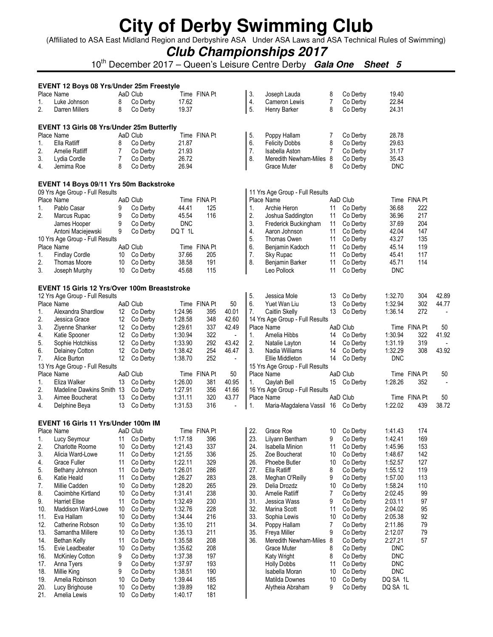(Affiliated to ASA East Midland Region and Derbyshire ASA Under ASA Laws and ASA Technical Rules of Swimming)

### **Club Championships 2017**

10th December 2017 – Queen's Leisure Centre Derby **Gala One Sheet 5**

|     | EVENT 12 Boys 08 Yrs/Under 25m Freestyle         |    |          |            |              |                |            |                                    |                |             |            |              |                |
|-----|--------------------------------------------------|----|----------|------------|--------------|----------------|------------|------------------------------------|----------------|-------------|------------|--------------|----------------|
|     | Place Name                                       |    | AaD Club |            | Time FINA Pt |                | 3.         | Joseph Lauda                       | 8              | Co Derby    | 19.40      |              |                |
| 1.  | Luke Johnson                                     | 8  | Co Derby | 17.62      |              |                | 4.         | Cameron Lewis                      | $\overline{7}$ | Co Derby    | 22.84      |              |                |
| 2.  | Darren Millers                                   | 8  | Co Derby | 19.37      |              |                | 5.         | Henry Barker                       | 8              | Co Derby    | 24.31      |              |                |
|     | <b>EVENT 13 Girls 08 Yrs/Under 25m Butterfly</b> |    |          |            |              |                |            |                                    |                |             |            |              |                |
|     | Place Name                                       |    | AaD Club |            | Time FINA Pt |                | 5.         | Poppy Hallam                       | 7              | Co Derby    | 28.78      |              |                |
| 1.  | Ella Ratliff                                     | 8  | Co Derby | 21.87      |              |                | 6.         | <b>Felicity Dobbs</b>              | 8              | Co Derby    | 29.63      |              |                |
| 2.  | <b>Amelie Ratliff</b>                            | 7  | Co Derby | 21.93      |              |                | 7.         | Isabella Aston                     | $\overline{7}$ | Co Derby    | 31.17      |              |                |
| 3.  | Lydia Cordle                                     | 7  | Co Derby | 26.72      |              |                | 8.         | Meredith Newham-Miles 8            |                | Co Derby    | 35.43      |              |                |
| 4.  | Jemima Roe                                       | 8  | Co Derby | 26.94      |              |                |            | Grace Muter                        | 8              | Co Derby    | <b>DNC</b> |              |                |
|     | EVENT 14 Boys 09/11 Yrs 50m Backstroke           |    |          |            |              |                |            |                                    |                |             |            |              |                |
|     | 09 Yrs Age Group - Full Results                  |    |          |            |              |                |            | 11 Yrs Age Group - Full Results    |                |             |            |              |                |
|     | Place Name                                       |    | AaD Club |            | Time FINA Pt |                |            | Place Name                         |                | AaD Club    |            | Time FINA Pt |                |
| 1.  | Pablo Casar                                      | 9  | Co Derby | 44.41      | 125          |                | 1.         | Archie Heron                       | 11             | Co Derby    | 36.68      | 222          |                |
| 2.  | Marcus Rupac                                     | 9  | Co Derby | 45.54      | 116          |                | 2.         | Joshua Saddington                  | 11             | Co Derby    | 36.96      | 217          |                |
|     | James Hooper                                     | 9  | Co Derby | <b>DNC</b> |              |                | 3.         | Frederick Buckingham               | 11             | Co Derby    | 37.69      | 204          |                |
|     | Antoni Maciejewski                               | 9  | Co Derby | DQ T 1L    |              |                | 4.         | Aaron Johnson                      | 11             | Co Derby    | 42.04      | 147          |                |
|     | 10 Yrs Age Group - Full Results                  |    |          |            |              |                | 5.         | Thomas Owen                        | 11             | Co Derby    | 43.27      | 135          |                |
|     | Place Name                                       |    | AaD Club |            | Time FINA Pt |                | 6.         | Benjamin Kadoch                    | 11             | Co Derby    | 45.14      | 119          |                |
| 1.  | <b>Findlay Cordle</b>                            | 10 | Co Derby | 37.66      | 205          |                | 7.         | Sky Rupac                          | 11             | Co Derby    | 45.41      | 117          |                |
| 2.  | <b>Thomas Moore</b>                              | 10 | Co Derby | 38.58      | 191          |                | 8.         | Benjamin Barker                    | 11             | Co Derby    | 45.71      | 114          |                |
| 3.  | Joseph Murphy                                    | 10 | Co Derby | 45.68      | 115          |                |            | Leo Pollock                        | 11             | Co Derby    | <b>DNC</b> |              |                |
|     | EVENT 15 Girls 12 Yrs/Over 100m Breaststroke     |    |          |            |              |                |            |                                    |                |             |            |              |                |
|     | 12 Yrs Age Group - Full Results                  |    |          |            |              |                | 5.         | Jessica Mole                       | 13             | Co Derby    | 1:32.70    | 304          | 42.89          |
|     | Place Name                                       |    | AaD Club |            | Time FINA Pt | 50             | 6.         | Yuet Wan Liu                       | 13             | Co Derby    | 1:32.94    | 302          | 44.77          |
| 1.  | Alexandra Shardlow                               | 12 | Co Derby | 1:24.96    | 395          | 40.01          | 7.         | Caitlin Skelly                     | 13             | Co Derby    | 1:36.14    | 272          |                |
| 2.  | Jessica Grace                                    | 12 | Co Derby | 1:28.58    | 348          | 42.60          |            | 14 Yrs Age Group - Full Results    |                |             |            |              |                |
| 3.  | Ziyenne Shanker                                  | 12 | Co Derby | 1:29.61    | 337          | 42.49          |            | Place Name                         |                | AaD Club    |            | Time FINA Pt | 50             |
| 4.  | Katie Spooner                                    | 12 | Co Derby | 1:30.94    | 322          | $\blacksquare$ | 1.         | Amelia Hibbs                       | 14             | Co Derby    | 1:30.94    | 322          | 41.92          |
| 5.  | Sophie Hotchkiss                                 | 12 | Co Derby | 1:33.90    | 292          | 43.42          | 2.         | Natalie Layton                     | 14             | Co Derby    | 1:31.19    | 319          | $\blacksquare$ |
| 6.  | Delainey Cotton                                  | 12 | Co Derby | 1:38.42    | 254          | 46.47          | 3.         | Nadia Williams                     | 14             | Co Derby    | 1:32.29    | 308          | 43.92          |
| 7.  | Alice Burton                                     | 12 | Co Derby | 1:38.70    | 252          | $\sim$         |            | Ellie Middleton                    | 14             | Co Derby    | <b>DNC</b> |              |                |
|     | 13 Yrs Age Group - Full Results                  |    |          |            |              |                |            | 15 Yrs Age Group - Full Results    |                |             |            |              |                |
|     | Place Name                                       |    | AaD Club |            | Time FINA Pt | 50             |            | Place Name                         |                | AaD Club    |            | Time FINA Pt | 50             |
| 1.  | Eliza Walker                                     | 13 | Co Derby | 1:26.00    | 381          | 40.95          | 1.         | Qaylah Bell                        |                | 15 Co Derby | 1:28.26    | 352          | $\blacksquare$ |
| 2.  | Madeline Dawkins Smith 13                        |    | Co Derby | 1:27.91    | 356          | 41.66          |            | 16 Yrs Age Group - Full Results    |                |             |            |              |                |
| 3.  | Aimee Boucherat                                  | 13 | Co Derby | 1:31.11    | 320          | 43.77          |            | Place Name                         |                | AaD Club    |            | Time FINA Pt | 50             |
| 4.  | Delphine Beya                                    | 13 | Co Derby | 1:31.53    | 316          | $\overline{a}$ | $\vert$ 1. | Maria-Magdalena Vassil 16 Co Derby |                |             | 1:22.02    | 439          | 38.72          |
|     | EVENT 16 Girls 11 Yrs/Under 100m IM              |    |          |            |              |                |            |                                    |                |             |            |              |                |
|     | Place Name                                       |    | AaD Club |            | Time FINA Pt |                | 22.        | Grace Roe                          | 10             | Co Derby    | 1:41.43    | 174          |                |
|     | Lucy Seymour                                     | 11 | Co Derby | 1:17.18    | 396          |                | 23.        | Lilyann Bentham                    | 9              | Co Derby    | 1:42.41    | 169          |                |
| 2.  | Charlotte Roome                                  | 10 | Co Derby | 1:21.43    | 337          |                | 24.        | Isabella Minion                    | 11             | Co Derby    | 1:45.96    | 153          |                |
| 3.  | Alicia Ward-Lowe                                 | 11 | Co Derby | 1:21.55    | 336          |                | 25.        | Zoe Boucherat                      | 10             | Co Derby    | 1:48.67    | 142          |                |
| 4.  | Grace Fuller                                     | 11 | Co Derby | 1:22.11    | 329          |                | 26.        | Phoebe Butler                      | 10             | Co Derby    | 1:52.57    | 127          |                |
| 5.  | Bethany Johnson                                  | 11 | Co Derby | 1:26.01    | 286          |                | 27.        | Ella Ratliff                       | 8              | Co Derby    | 1:55.12    | 119          |                |
| 6.  | Katie Heald                                      | 11 | Co Derby | 1:26.27    | 283          |                | 28.        | Meghan O'Reilly                    | 9              | Co Derby    | 1:57.00    | 113          |                |
| 7.  | Millie Cadden                                    | 10 | Co Derby | 1:28.20    | 265          |                | 29.        | Delia Drozdz                       | 10             | Co Derby    | 1:58.24    | 110          |                |
| 8.  | Caoimbhe Kirtland                                | 10 | Co Derby | 1:31.41    | 238          |                | 30.        | Amelie Ratliff                     | $\overline{7}$ | Co Derby    | 2:02.45    | 99           |                |
| 9.  | <b>Harriet Ellse</b>                             | 11 | Co Derby | 1:32.49    | 230          |                | 31.        | Jessica Wass                       | 9              | Co Derby    | 2:03.11    | 97           |                |
| 10. | Maddison Ward-Lowe                               | 10 | Co Derby | 1:32.76    | 228          |                | 32.        | Marina Scott                       | 11             | Co Derby    | 2:04.02    | 95           |                |
| 11. | Eva Hallam                                       | 10 | Co Derby | 1:34.44    | 216          |                | 33.        | Sophia Lewis                       | 10             | Co Derby    | 2:05.38    | 92           |                |
| 12. | Catherine Robson                                 | 10 | Co Derby | 1:35.10    | 211          |                | 34.        | Poppy Hallam                       | 7              | Co Derby    | 2:11.86    | 79           |                |
| 13. | Samantha Millere                                 | 10 | Co Derby | 1:35.13    | 211          |                | 35.        | Freya Miller                       | 9              | Co Derby    | 2:12.07    | 79           |                |
| 14. | <b>Bethan Kelly</b>                              | 11 | Co Derby | 1:35.58    | 208          |                | 36.        | Meredith Newham-Miles 8            |                | Co Derby    | 2:27.21    | 57           |                |
| 15. | Evie Leadbeater                                  | 10 | Co Derby | 1:35.62    | 208          |                |            | Grace Muter                        | 8              | Co Derby    | <b>DNC</b> |              |                |
| 16. | <b>McKinley Cotton</b>                           | 9  | Co Derby | 1:37.38    | 197          |                |            | Katy Wright                        | 8              | Co Derby    | <b>DNC</b> |              |                |
| 17. | Anna Tyers                                       | 9  | Co Derby | 1:37.97    | 193          |                |            | <b>Holly Dobbs</b>                 | 11             | Co Derby    | <b>DNC</b> |              |                |
| 18. | Millie King                                      | 9  | Co Derby | 1:38.51    | 190          |                |            | Isabella Moran                     | 10             | Co Derby    | <b>DNC</b> |              |                |
| 19. | Amelia Robinson                                  | 10 | Co Derby | 1:39.44    | 185          |                |            | Matilda Downes                     | 10             | Co Derby    | DQ SA 1L   |              |                |
| 20. | Lucy Brighouse                                   | 10 | Co Derby | 1:39.89    | 182          |                |            | Alytheia Abraham                   | 9              | Co Derby    | DQ SA 1L   |              |                |
| 21. | Amelia Lewis                                     | 10 | Co Derby | 1:40.17    | 181          |                |            |                                    |                |             |            |              |                |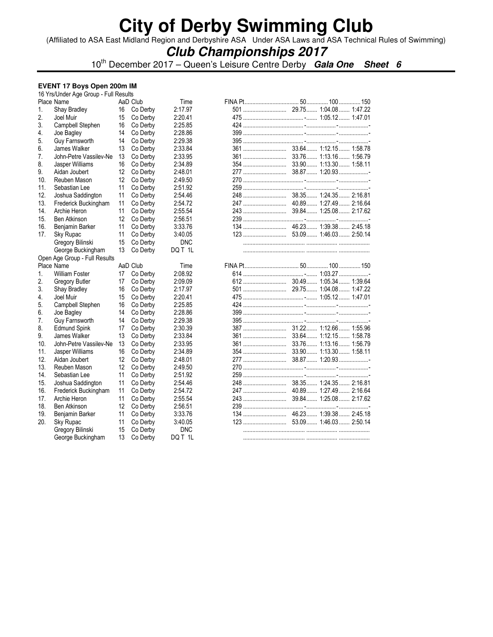(Affiliated to ASA East Midland Region and Derbyshire ASA Under ASA Laws and ASA Technical Rules of Swimming)

### **Club Championships 2017**

10th December 2017 – Queen's Leisure Centre Derby **Gala One Sheet 6**

### **EVENT 17 Boys Open 200m IM**

|     | 16 Yrs/Under Age Group - Full Results |    |          |            |  |  |
|-----|---------------------------------------|----|----------|------------|--|--|
|     | Place Name                            |    | AaD Club | Time       |  |  |
| 1.  | Shay Bradley                          | 16 | Co Derby | 2:17.97    |  |  |
| 2.  | Joel Muir                             | 15 | Co Derby | 2:20.41    |  |  |
| 3.  | Campbell Stephen                      | 16 | Co Derby | 2:25.85    |  |  |
| 4.  | Joe Bagley                            | 14 | Co Derby | 2:28.86    |  |  |
| 5.  | Guy Farnsworth                        | 14 | Co Derby | 2:29.38    |  |  |
| 6.  | James Walker                          | 13 | Co Derby | 2:33.84    |  |  |
| 7.  | John-Petre Vassilev-Ne                | 13 | Co Derby | 2:33.95    |  |  |
| 8.  | Jasper Williams                       | 16 | Co Derby | 2:34.89    |  |  |
| 9.  | Aidan Joubert                         | 12 | Co Derby | 2:48.01    |  |  |
| 10. | Reuben Mason                          | 12 | Co Derby | 2:49.50    |  |  |
| 11. | Sebastian Lee                         | 11 | Co Derby | 2:51.92    |  |  |
| 12. | Joshua Saddington                     | 11 | Co Derby | 2:54.46    |  |  |
| 13. | Frederick Buckingham                  | 11 | Co Derby | 2:54.72    |  |  |
| 14. | Archie Heron                          | 11 | Co Derby | 2:55.54    |  |  |
| 15. | <b>Ben Atkinson</b>                   | 12 | Co Derby | 2:56.51    |  |  |
| 16. | Benjamin Barker                       | 11 | Co Derby | 3:33.76    |  |  |
| 17. | Sky Rupac                             | 11 | Co Derby | 3:40.05    |  |  |
|     | Gregory Bilinski                      | 15 | Co Derby | <b>DNC</b> |  |  |
|     | George Buckingham                     | 13 | Co Derby | DQ T 1L    |  |  |
|     | Open Age Group - Full Results         |    |          |            |  |  |
|     | Place Name                            |    | AaD Club | Time       |  |  |
| 1.  | <b>William Foster</b>                 | 17 | Co Derby | 2:08.92    |  |  |
| 2.  | <b>Gregory Butler</b>                 | 17 | Co Derby | 2:09.09    |  |  |
| 3.  | Shay Bradley                          | 16 | Co Derby | 2:17.97    |  |  |
| 4.  | Joel Muir                             | 15 | Co Derby | 2:20.41    |  |  |
| 5.  | Campbell Stephen                      | 16 | Co Derby | 2:25.85    |  |  |
| 6.  | Joe Bagley                            | 14 | Co Derby | 2:28.86    |  |  |
| 7.  | Guy Farnsworth                        | 14 | Co Derby | 2:29.38    |  |  |
| 8.  | <b>Edmund Spink</b>                   | 17 | Co Derby | 2:30.39    |  |  |
| 9.  | James Walker                          | 13 | Co Derby | 2:33.84    |  |  |
| 10. | John-Petre Vassilev-Ne                | 13 | Co Derby | 2:33.95    |  |  |
| 11. | Jasper Williams                       | 16 | Co Derby | 2:34.89    |  |  |
| 12. | Aidan Joubert                         | 12 | Co Derby | 2:48.01    |  |  |
| 13. | Reuben Mason                          | 12 | Co Derby | 2:49.50    |  |  |
| 14. | Sebastian Lee                         | 11 | Co Derby | 2:51.92    |  |  |
| 15. | Joshua Saddington                     | 11 | Co Derby | 2:54.46    |  |  |
| 16. | Frederick Buckingham                  | 11 | Co Derby | 2:54.72    |  |  |
| 17. | Archie Heron                          | 11 | Co Derby | 2:55.54    |  |  |
| 18. | <b>Ben Atkinson</b>                   | 12 | Co Derby | 2:56.51    |  |  |
| 19. | Benjamin Barker                       | 11 | Co Derby | 3:33.76    |  |  |
| 20. | Sky Rupac                             | 11 | Co Derby | 3:40.05    |  |  |
|     | Gregory Bilinski                      | 15 | Co Derby | <b>DNC</b> |  |  |
|     | George Buckingham                     | 13 | Co Derby | DQ T 1L    |  |  |